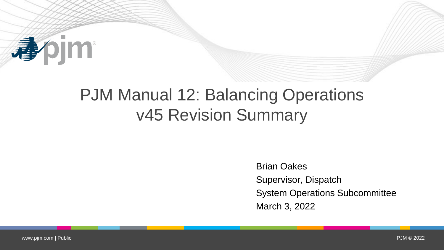

## PJM Manual 12: Balancing Operations v45 Revision Summary

Brian Oakes Supervisor, Dispatch System Operations Subcommittee March 3, 2022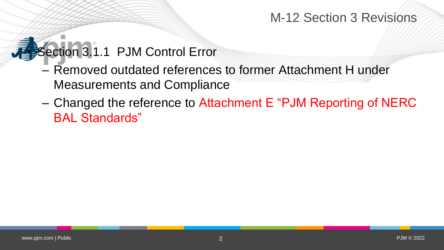### M-12 Section 3 Revisions

## Section 3.1.1 PJM Control Error

- Removed outdated references to former Attachment H under Measurements and Compliance
- Changed the reference to Attachment E "PJM Reporting of NERC BAL Standards"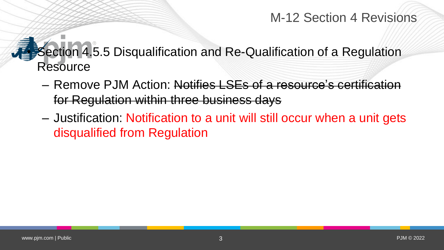### M-12 Section 4 Revisions

## $\frac{1}{2}$ Section 4.5.5 Disqualification and Re-Qualification of a Regulation **Resource**

- Remove PJM Action: Notifies LSEs of a resource's certification for Regulation within three business days
- Justification: Notification to a unit will still occur when a unit gets disqualified from Regulation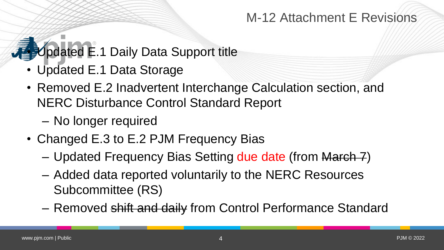### M-12 Attachment E Revisions

# Updated E.1 Daily Data Support title

- Updated E.1 Data Storage
- Removed E.2 Inadvertent Interchange Calculation section, and NERC Disturbance Control Standard Report
	- No longer required
- Changed E.3 to E.2 PJM Frequency Bias
	- Updated Frequency Bias Setting due date (from March 7)
	- Added data reported voluntarily to the NERC Resources Subcommittee (RS)
	- Removed shift and daily from Control Performance Standard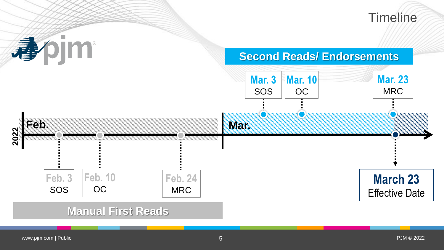#### **Timeline**

**Second Reads/ Endorsements**